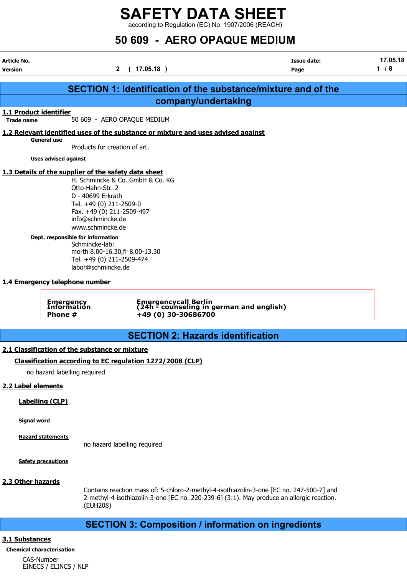according to Regulation (EC) No. 1907/2006 (REACH)

## 50 609 - AERO OPAQUE MEDIUM

| <b>Article No.</b><br><b>Version</b>        | $\mathbf{2}$                                                                                                                                                                                                                                                                                                                                                                  | (17.05.18)                                                                        | <b>Issue date:</b><br>Page                                           | 17.05.18<br>1/8 |
|---------------------------------------------|-------------------------------------------------------------------------------------------------------------------------------------------------------------------------------------------------------------------------------------------------------------------------------------------------------------------------------------------------------------------------------|-----------------------------------------------------------------------------------|----------------------------------------------------------------------|-----------------|
|                                             |                                                                                                                                                                                                                                                                                                                                                                               |                                                                                   | <b>SECTION 1: Identification of the substance/mixture and of the</b> |                 |
|                                             |                                                                                                                                                                                                                                                                                                                                                                               |                                                                                   | company/undertaking                                                  |                 |
| 1.1 Product identifier<br><b>Trade name</b> |                                                                                                                                                                                                                                                                                                                                                                               | 50 609 - AERO OPAQUE MEDIUM                                                       |                                                                      |                 |
|                                             |                                                                                                                                                                                                                                                                                                                                                                               | 1.2 Relevant identified uses of the substance or mixture and uses advised against |                                                                      |                 |
|                                             | <b>General use</b><br>Products for creation of art.                                                                                                                                                                                                                                                                                                                           |                                                                                   |                                                                      |                 |
|                                             | <b>Uses advised against</b>                                                                                                                                                                                                                                                                                                                                                   |                                                                                   |                                                                      |                 |
|                                             | 1.3 Details of the supplier of the safety data sheet<br>Otto-Hahn-Str. 2<br>D - 40699 Erkrath<br>Tel. +49 (0) 211-2509-0<br>Fax. +49 (0) 211-2509-497<br>info@schmincke.de<br>www.schmincke.de<br>Dept. responsible for information<br>Schmincke-lab:<br>mo-th 8.00-16.30, fr 8.00-13.30<br>Tel. +49 (0) 211-2509-474<br>labor@schmincke.de<br>1.4 Emergency telephone number | H. Schmincke & Co. GmbH & Co. KG                                                  |                                                                      |                 |
|                                             | Emergency<br>Information<br>Phone #                                                                                                                                                                                                                                                                                                                                           | +49 (0) 30-30686700                                                               | Emergencycall Berlin<br>(24h - counseling in german and english)     |                 |
|                                             |                                                                                                                                                                                                                                                                                                                                                                               |                                                                                   | <b>SECTION 2: Hazards identification</b>                             |                 |
|                                             | 2.1 Classification of the substance or mixture                                                                                                                                                                                                                                                                                                                                |                                                                                   |                                                                      |                 |
|                                             | no hazard labelling required                                                                                                                                                                                                                                                                                                                                                  | Classification according to EC regulation 1272/2008 (CLP)                         |                                                                      |                 |
| 2.2 Label elements                          |                                                                                                                                                                                                                                                                                                                                                                               |                                                                                   |                                                                      |                 |
|                                             | <b>Labelling (CLP)</b>                                                                                                                                                                                                                                                                                                                                                        |                                                                                   |                                                                      |                 |
| <b>Signal word</b>                          |                                                                                                                                                                                                                                                                                                                                                                               |                                                                                   |                                                                      |                 |
|                                             | <b>Hazard statements</b>                                                                                                                                                                                                                                                                                                                                                      | no hazard labelling required                                                      |                                                                      |                 |

Safety precautions

### 2.3 Other hazards

Contains reaction mass of: 5-chloro-2-methyl-4-isothiazolin-3-one [EC no. 247-500-7] and 2-methyl-4-isothiazolin-3-one [EC no. 220-239-6] (3:1). May produce an allergic reaction. (EUH208)

### SECTION 3: Composition / information on ingredients

### 3.1 Substances

Chemical characterisation CAS-Number EINECS / ELINCS / NLP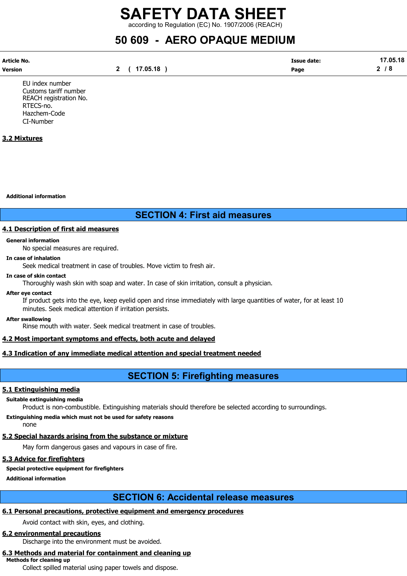according to Regulation (EC) No. 1907/2006 (REACH)

## 50 609 - AERO OPAQUE MEDIUM

| Article No. |          | <b>Issue date:</b> | 17.05.18 |
|-------------|----------|--------------------|----------|
| Version     | 17.05.18 | Page               | ີ<br>൦   |

EU index number Customs tariff number REACH registration No. RTECS-no. Hazchem-Code CI-Number

### 3.2 Mixtures

Additional information

### SECTION 4: First aid measures

### 4.1 Description of first aid measures

#### General information

No special measures are required.

#### In case of inhalation

Seek medical treatment in case of troubles. Move victim to fresh air.

#### In case of skin contact

Thoroughly wash skin with soap and water. In case of skin irritation, consult a physician.

#### After eye contact

If product gets into the eye, keep eyelid open and rinse immediately with large quantities of water, for at least 10 minutes. Seek medical attention if irritation persists.

#### After swallowing

Rinse mouth with water. Seek medical treatment in case of troubles.

### 4.2 Most important symptoms and effects, both acute and delayed

### 4.3 Indication of any immediate medical attention and special treatment needed

### SECTION 5: Firefighting measures

### 5.1 Extinguishing media

#### Suitable extinguishing media

Product is non-combustible. Extinguishing materials should therefore be selected according to surroundings.

Extinguishing media which must not be used for safety reasons none

### 5.2 Special hazards arising from the substance or mixture

May form dangerous gases and vapours in case of fire.

### 5.3 Advice for firefighters

### Special protective equipment for firefighters

Additional information

### SECTION 6: Accidental release measures

### 6.1 Personal precautions, protective equipment and emergency procedures

Avoid contact with skin, eyes, and clothing.

### 6.2 environmental precautions

Discharge into the environment must be avoided.

## 6.3 Methods and material for containment and cleaning up

Methods for cleaning up

Collect spilled material using paper towels and dispose.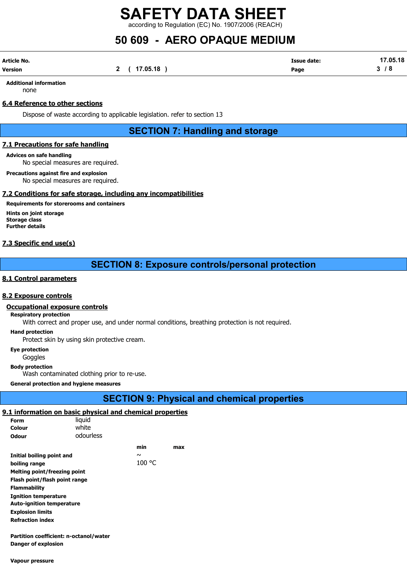according to Regulation (EC) No. 1907/2006 (REACH)

## 50 609 - AERO OPAQUE MEDIUM

| Article No. |              | <b>Issue date:</b> | 17.05.18 |
|-------------|--------------|--------------------|----------|
| Version     | 2 ( 17.05.18 | Page               | 3/8      |

Additional information none

### 6.4 Reference to other sections

Dispose of waste according to applicable legislation. refer to section 13

SECTION 7: Handling and storage

### 7.1 Precautions for safe handling

### Advices on safe handling

No special measures are required.

#### Precautions against fire and explosion

No special measures are required.

### 7.2 Conditions for safe storage, including any incompatibilities

### Requirements for storerooms and containers

Hints on joint storage Storage class Further details

### 7.3 Specific end use(s)

### SECTION 8: Exposure controls/personal protection

### 8.1 Control parameters

#### 8.2 Exposure controls

#### Occupational exposure controls

#### Respiratory protection

With correct and proper use, and under normal conditions, breathing protection is not required.

#### Hand protection

Protect skin by using skin protective cream.

Eye protection

**Goggles** 

#### Body protection

Wash contaminated clothing prior to re-use.

General protection and hygiene measures

### SECTION 9: Physical and chemical properties

### 9.1 information on basic physical and chemical properties

| Form                                   | liguid    |        |     |
|----------------------------------------|-----------|--------|-----|
| Colour                                 | white     |        |     |
| <b>Odour</b>                           | odourless |        |     |
|                                        |           | min    | max |
| Initial boiling point and              |           | $\sim$ |     |
| boiling range                          |           | 100 °C |     |
| Melting point/freezing point           |           |        |     |
| Flash point/flash point range          |           |        |     |
| <b>Flammability</b>                    |           |        |     |
| <b>Ignition temperature</b>            |           |        |     |
| <b>Auto-ignition temperature</b>       |           |        |     |
| <b>Explosion limits</b>                |           |        |     |
| <b>Refraction index</b>                |           |        |     |
|                                        |           |        |     |
| Partition coefficient: n-octanol/water |           |        |     |
| Danger of explosion                    |           |        |     |

Vapour pressure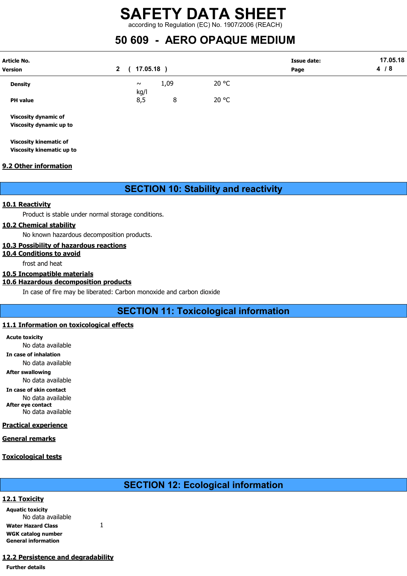### SAFETY DATA SHEET according to Regulation (EC) No. 1907/2006 (REACH)

## 50 609 - AERO OPAQUE MEDIUM

| <b>Article No.</b><br><b>Version</b>                   | $17.05.18$ )<br>$\mathbf{2}$ |      |       | <b>Issue date:</b><br>Page | 17.05.18<br>4/8 |
|--------------------------------------------------------|------------------------------|------|-------|----------------------------|-----------------|
| <b>Density</b>                                         | $\sim$<br>kg/l               | 1,09 | 20 °C |                            |                 |
| <b>PH</b> value                                        | 8,5                          | 8    | 20 °C |                            |                 |
| <b>Viscosity dynamic of</b><br>Viscosity dynamic up to |                              |      |       |                            |                 |

Viscosity kinematic of Viscosity kinematic up to

### 9.2 Other information

### SECTION 10: Stability and reactivity

### 10.1 Reactivity

Product is stable under normal storage conditions.

### 10.2 Chemical stability

No known hazardous decomposition products.

### 10.3 Possibility of hazardous reactions

### 10.4 Conditions to avoid

frost and heat

### 10.5 Incompatible materials

### 10.6 Hazardous decomposition products

In case of fire may be liberated: Carbon monoxide and carbon dioxide

### SECTION 11: Toxicological information

### 11.1 Information on toxicological effects

Acute toxicity No data available

In case of inhalation

No data available

After swallowing

No data available

In case of skin contact No data available After eye contact

No data available

### Practical experience

### General remarks

### Toxicological tests

### SECTION 12: Ecological information

### 12.1 Toxicity

Aquatic toxicity No data available Water Hazard Class 1 WGK catalog number General information

### 12.2 Persistence and degradability

#### Further details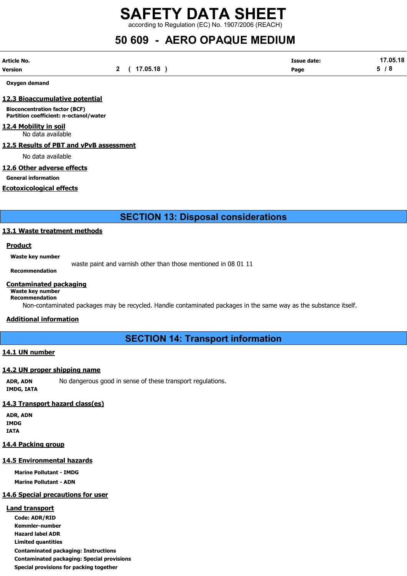according to Regulation (EC) No. 1907/2006 (REACH)

## 50 609 - AERO OPAQUE MEDIUM

| Article No. |              | <b>Issue date:</b> | 17.05.18 |
|-------------|--------------|--------------------|----------|
| Version     | 2 ( 17.05.18 | Page               | 5/8      |

Oxygen demand

### 12.3 Bioaccumulative potential

Bioconcentration factor (BCF) Partition coefficient: n-octanol/water

### 12.4 Mobility in soil

No data available

### 12.5 Results of PBT and vPvB assessment

No data available

### 12.6 Other adverse effects

General information

### Ecotoxicological effects

SECTION 13: Disposal considerations

### 13.1 Waste treatment methods

### Product

Waste key number

waste paint and varnish other than those mentioned in 08 01 11

## Recommendation

### Contaminated packaging

#### Waste key number Recommendation

Non-contaminated packages may be recycled. Handle contaminated packages in the same way as the substance itself.

### Additional information

SECTION 14: Transport information

### 14.1 UN number

### 14.2 UN proper shipping name

ADR, ADN No dangerous good in sense of these transport regulations. IMDG, IATA

### 14.3 Transport hazard class(es)

ADR, ADN IMDG IATA

### 14.4 Packing group

### 14.5 Environmental hazards

Marine Pollutant - IMDG Marine Pollutant - ADN

### 14.6 Special precautions for user

### Land transport

Code: ADR/RID Kemmler-number Hazard label ADR Limited quantities Contaminated packaging: Instructions Contaminated packaging: Special provisions Special provisions for packing together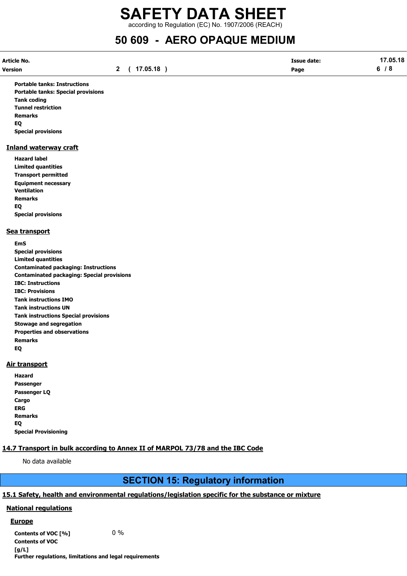according to Regulation (EC) No. 1907/2006 (REACH)

## 50 609 - AERO OPAQUE MEDIUM

| Article No. |              | <b>Issue date:</b> | 17.05.18 |
|-------------|--------------|--------------------|----------|
| Version     | 2 ( 17.05.18 | Page               | 6/8      |

Portable tanks: Instructions Portable tanks: Special provisions Tank coding Tunnel restriction Remarks EQ Special provisions

### Inland waterway craft

Hazard label Limited quantities Transport permitted Equipment necessary Ventilation Remarks EQ Special provisions

### Sea transport

EmS Special provisions Limited quantities Contaminated packaging: Instructions Contaminated packaging: Special provisions IBC: Instructions IBC: Provisions Tank instructions IMO Tank instructions UN Tank instructions Special provisions Stowage and segregation Properties and observations Remarks EQ

### Air transport

| Hazard                      |
|-----------------------------|
| Passenger                   |
| Passenger LQ                |
| Cargo                       |
| ERG                         |
| <b>Remarks</b>              |
| EO                          |
| <b>Special Provisioning</b> |

### 14.7 Transport in bulk according to Annex II of MARPOL 73/78 and the IBC Code

No data available

### SECTION 15: Regulatory information

### 15.1 Safety, health and environmental regulations/legislation specific for the substance or mixture

### National regulations

### **Europe**

Contents of VOC  $[\%]$  0 % Contents of VOC [g/L] Further regulations, limitations and legal requirements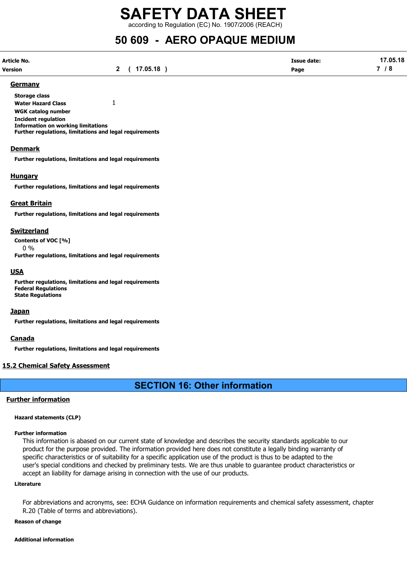according to Regulation (EC) No. 1907/2006 (REACH)

## 50 609 - AERO OPAQUE MEDIUM

| Article No.    |                     | <b>Issue date:</b> | 17.05.18 |
|----------------|---------------------|--------------------|----------|
| <b>Version</b> | 2 ( 17.05.18 )<br>- | Page               | 7 / 8    |

#### Germany

Storage class Water Hazard Class 1 WGK catalog number Incident regulation Information on working limitations Further regulations, limitations and legal requirements

### Denmark

Further regulations, limitations and legal requirements

### **Hungary**

Further regulations, limitations and legal requirements

### Great Britain

Further regulations, limitations and legal requirements

### Switzerland

Contents of VOC [%] 0 %

Further regulations, limitations and legal requirements

### **USA**

Further regulations, limitations and legal requirements Federal Regulations State Regulations

### **Japan**

Further regulations, limitations and legal requirements

#### Canada

Further regulations, limitations and legal requirements

### 15.2 Chemical Safety Assessment

### SECTION 16: Other information

### Further information

#### Hazard statements (CLP)

#### Further information

This information is abased on our current state of knowledge and describes the security standards applicable to our product for the purpose provided. The information provided here does not constitute a legally binding warranty of specific characteristics or of suitability for a specific application use of the product is thus to be adapted to the user's special conditions and checked by preliminary tests. We are thus unable to guarantee product characteristics or accept an liability for damage arising in connection with the use of our products.

#### Literature

For abbreviations and acronyms, see: ECHA Guidance on information requirements and chemical safety assessment, chapter R.20 (Table of terms and abbreviations).

#### Reason of change

#### Additional information